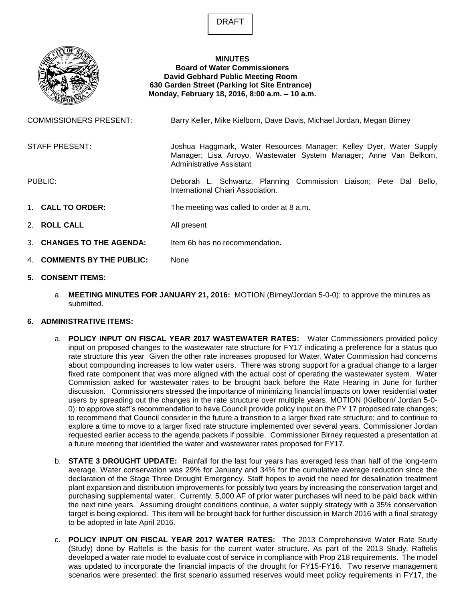DRAFT



## **MINUTES Board of Water Commissioners David Gebhard Public Meeting Room 630 Garden Street (Parking lot Site Entrance) Monday, February 18, 2016, 8:00 a.m. – 10 a.m.**

| <b>COMMISSIONERS PRESENT:</b> |                            | Barry Keller, Mike Kielborn, Dave Davis, Michael Jordan, Megan Birney                                                                                                |
|-------------------------------|----------------------------|----------------------------------------------------------------------------------------------------------------------------------------------------------------------|
|                               | <b>STAFF PRESENT:</b>      | Joshua Haggmark, Water Resources Manager; Kelley Dyer, Water Supply<br>Manager; Lisa Arroyo, Wastewater System Manager; Anne Van Belkom,<br>Administrative Assistant |
| PUBLIC:                       |                            | Deborah L. Schwartz, Planning Commission Liaison; Pete Dal Bello,<br>International Chiari Association.                                                               |
|                               | 1. CALL TO ORDER:          | The meeting was called to order at 8 a.m.                                                                                                                            |
|                               | 2. ROLL CALL               | All present                                                                                                                                                          |
|                               | 3. CHANGES TO THE AGENDA:  | Item 6b has no recommendation.                                                                                                                                       |
|                               | 4. COMMENTS BY THE PUBLIC: | None                                                                                                                                                                 |

## **5. CONSENT ITEMS:**

a. **MEETING MINUTES FOR JANUARY 21, 2016:** MOTION (Birney/Jordan 5-0-0): to approve the minutes as submitted.

## **6. ADMINISTRATIVE ITEMS:**

- a. **POLICY INPUT ON FISCAL YEAR 2017 WASTEWATER RATES:** Water Commissioners provided policy input on proposed changes to the wastewater rate structure for FY17 indicating a preference for a status quo rate structure this year Given the other rate increases proposed for Water, Water Commission had concerns about compounding increases to low water users. There was strong support for a gradual change to a larger fixed rate component that was more aligned with the actual cost of operating the wastewater system. Water Commission asked for wastewater rates to be brought back before the Rate Hearing in June for further discussion. Commissioners stressed the importance of minimizing financial impacts on lower residential water users by spreading out the changes in the rate structure over multiple years. MOTION (Kielborn/ Jordan 5-0- 0): to approve staff's recommendation to have Council provide policy input on the FY 17 proposed rate changes; to recommend that Council consider in the future a transition to a larger fixed rate structure; and to continue to explore a time to move to a larger fixed rate structure implemented over several years. Commissioner Jordan requested earlier access to the agenda packets if possible. Commissioner Birney requested a presentation at a future meeting that identified the water and wastewater rates proposed for FY17.
- b. **STATE 3 DROUGHT UPDATE:** Rainfall for the last four years has averaged less than half of the long-term average. Water conservation was 29% for January and 34% for the cumulative average reduction since the declaration of the Stage Three Drought Emergency. Staff hopes to avoid the need for desalination treatment plant expansion and distribution improvements for possibly two years by increasing the conservation target and purchasing supplemental water. Currently, 5,000 AF of prior water purchases will need to be paid back within the next nine years. Assuming drought conditions continue, a water supply strategy with a 35% conservation target is being explored. This item will be brought back for further discussion in March 2016 with a final strategy to be adopted in late April 2016.
- c. **POLICY INPUT ON FISCAL YEAR 2017 WATER RATES:** The 2013 Comprehensive Water Rate Study (Study) done by Raftelis is the basis for the current water structure. As part of the 2013 Study, Raftelis developed a water rate model to evaluate cost of service in compliance with Prop 218 requirements. The model was updated to incorporate the financial impacts of the drought for FY15-FY16. Two reserve management scenarios were presented: the first scenario assumed reserves would meet policy requirements in FY17, the